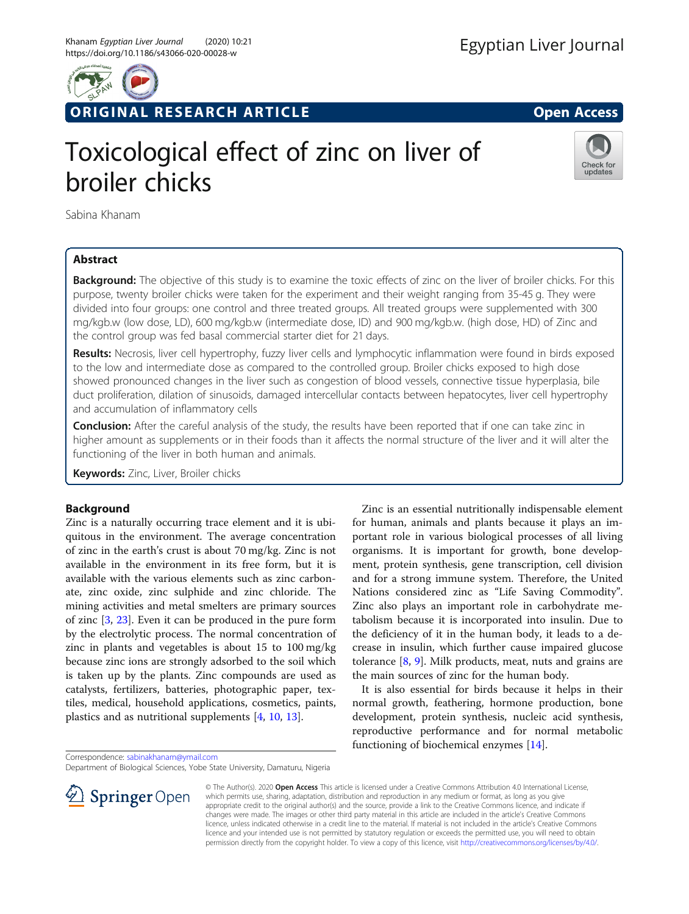

ORIGINAL RESEARCH ARTICLE **External of the Contract Open Access** 

# Toxicological effect of zinc on liver of broiler chicks



Sabina Khanam

# Abstract

**Background:** The objective of this study is to examine the toxic effects of zinc on the liver of broiler chicks. For this purpose, twenty broiler chicks were taken for the experiment and their weight ranging from 35-45 g. They were divided into four groups: one control and three treated groups. All treated groups were supplemented with 300 mg/kgb.w (low dose, LD), 600 mg/kgb.w (intermediate dose, ID) and 900 mg/kgb.w. (high dose, HD) of Zinc and the control group was fed basal commercial starter diet for 21 days.

Results: Necrosis, liver cell hypertrophy, fuzzy liver cells and lymphocytic inflammation were found in birds exposed to the low and intermediate dose as compared to the controlled group. Broiler chicks exposed to high dose showed pronounced changes in the liver such as congestion of blood vessels, connective tissue hyperplasia, bile duct proliferation, dilation of sinusoids, damaged intercellular contacts between hepatocytes, liver cell hypertrophy and accumulation of inflammatory cells

**Conclusion:** After the careful analysis of the study, the results have been reported that if one can take zinc in higher amount as supplements or in their foods than it affects the normal structure of the liver and it will alter the functioning of the liver in both human and animals.

Keywords: Zinc, Liver, Broiler chicks

# Background

Zinc is a naturally occurring trace element and it is ubiquitous in the environment. The average concentration of zinc in the earth's crust is about 70 mg/kg. Zinc is not available in the environment in its free form, but it is available with the various elements such as zinc carbonate, zinc oxide, zinc sulphide and zinc chloride. The mining activities and metal smelters are primary sources of zinc [[3,](#page-3-0) [23\]](#page-4-0). Even it can be produced in the pure form by the electrolytic process. The normal concentration of zinc in plants and vegetables is about 15 to 100 mg/kg because zinc ions are strongly adsorbed to the soil which is taken up by the plants. Zinc compounds are used as catalysts, fertilizers, batteries, photographic paper, textiles, medical, household applications, cosmetics, paints, plastics and as nutritional supplements [\[4](#page-3-0), [10](#page-3-0), [13](#page-3-0)].

Correspondence: [sabinakhanam@ymail.com](mailto:sabinakhanam@ymail.com)

Department of Biological Sciences, Yobe State University, Damaturu, Nigeria



Zinc is an essential nutritionally indispensable element for human, animals and plants because it plays an important role in various biological processes of all living organisms. It is important for growth, bone development, protein synthesis, gene transcription, cell division and for a strong immune system. Therefore, the United Nations considered zinc as "Life Saving Commodity". Zinc also plays an important role in carbohydrate metabolism because it is incorporated into insulin. Due to the deficiency of it in the human body, it leads to a decrease in insulin, which further cause impaired glucose tolerance [\[8](#page-3-0), [9](#page-3-0)]. Milk products, meat, nuts and grains are the main sources of zinc for the human body.

It is also essential for birds because it helps in their normal growth, feathering, hormone production, bone development, protein synthesis, nucleic acid synthesis, reproductive performance and for normal metabolic functioning of biochemical enzymes [\[14](#page-3-0)].

© The Author(s). 2020 Open Access This article is licensed under a Creative Commons Attribution 4.0 International License, which permits use, sharing, adaptation, distribution and reproduction in any medium or format, as long as you give appropriate credit to the original author(s) and the source, provide a link to the Creative Commons licence, and indicate if changes were made. The images or other third party material in this article are included in the article's Creative Commons licence, unless indicated otherwise in a credit line to the material. If material is not included in the article's Creative Commons licence and your intended use is not permitted by statutory regulation or exceeds the permitted use, you will need to obtain permission directly from the copyright holder. To view a copy of this licence, visit <http://creativecommons.org/licenses/by/4.0/>.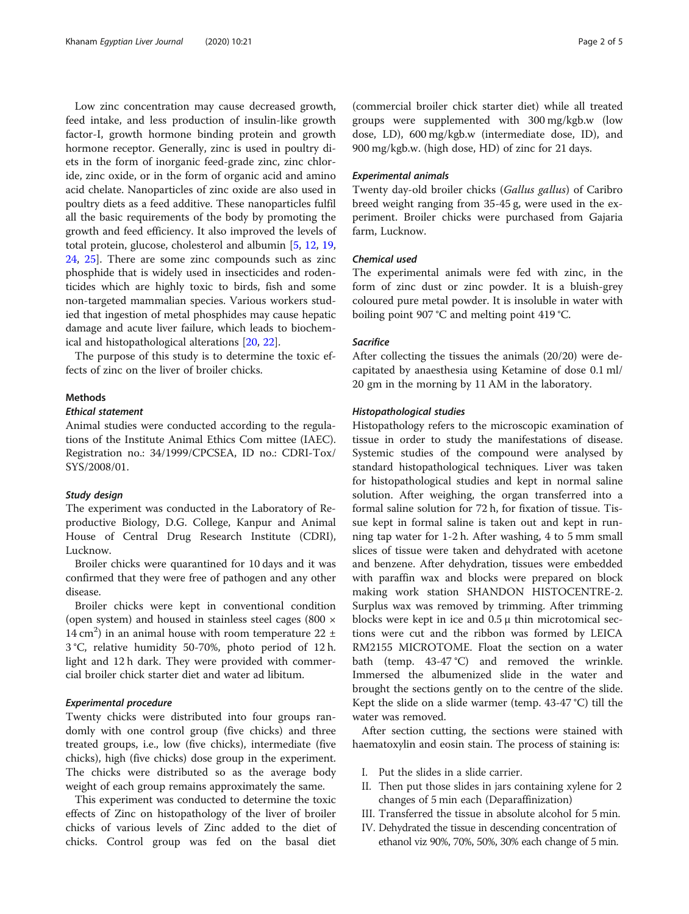Low zinc concentration may cause decreased growth, feed intake, and less production of insulin-like growth factor-I, growth hormone binding protein and growth hormone receptor. Generally, zinc is used in poultry diets in the form of inorganic feed-grade zinc, zinc chloride, zinc oxide, or in the form of organic acid and amino acid chelate. Nanoparticles of zinc oxide are also used in poultry diets as a feed additive. These nanoparticles fulfil all the basic requirements of the body by promoting the growth and feed efficiency. It also improved the levels of total protein, glucose, cholesterol and albumin [[5](#page-3-0), [12](#page-3-0), [19](#page-4-0), [24,](#page-4-0) [25\]](#page-4-0). There are some zinc compounds such as zinc phosphide that is widely used in insecticides and rodenticides which are highly toxic to birds, fish and some non-targeted mammalian species. Various workers studied that ingestion of metal phosphides may cause hepatic damage and acute liver failure, which leads to biochemical and histopathological alterations [[20](#page-4-0), [22](#page-4-0)].

The purpose of this study is to determine the toxic effects of zinc on the liver of broiler chicks.

## **Mathods**

#### Ethical statement

Animal studies were conducted according to the regulations of the Institute Animal Ethics Com mittee (IAEC). Registration no.: 34/1999/CPCSEA, ID no.: CDRI-Tox/ SYS/2008/01.

#### Study design

The experiment was conducted in the Laboratory of Reproductive Biology, D.G. College, Kanpur and Animal House of Central Drug Research Institute (CDRI), Lucknow.

Broiler chicks were quarantined for 10 days and it was confirmed that they were free of pathogen and any other disease.

Broiler chicks were kept in conventional condition (open system) and housed in stainless steel cages (800 × 14 cm<sup>2</sup>) in an animal house with room temperature 22  $\pm$ 3 °C, relative humidity 50-70%, photo period of 12 h. light and 12 h dark. They were provided with commercial broiler chick starter diet and water ad libitum.

## Experimental procedure

Twenty chicks were distributed into four groups randomly with one control group (five chicks) and three treated groups, i.e., low (five chicks), intermediate (five chicks), high (five chicks) dose group in the experiment. The chicks were distributed so as the average body weight of each group remains approximately the same.

This experiment was conducted to determine the toxic effects of Zinc on histopathology of the liver of broiler chicks of various levels of Zinc added to the diet of chicks. Control group was fed on the basal diet

(commercial broiler chick starter diet) while all treated groups were supplemented with 300 mg/kgb.w (low dose, LD), 600 mg/kgb.w (intermediate dose, ID), and 900 mg/kgb.w. (high dose, HD) of zinc for 21 days.

#### Experimental animals

Twenty day-old broiler chicks (Gallus gallus) of Caribro breed weight ranging from 35-45 g, were used in the experiment. Broiler chicks were purchased from Gajaria farm, Lucknow.

## Chemical used

The experimental animals were fed with zinc, in the form of zinc dust or zinc powder. It is a bluish-grey coloured pure metal powder. It is insoluble in water with boiling point 907 °C and melting point 419 °C.

## **Sacrifice**

After collecting the tissues the animals (20/20) were decapitated by anaesthesia using Ketamine of dose 0.1 ml/ 20 gm in the morning by 11 AM in the laboratory.

#### Histopathological studies

Histopathology refers to the microscopic examination of tissue in order to study the manifestations of disease. Systemic studies of the compound were analysed by standard histopathological techniques. Liver was taken for histopathological studies and kept in normal saline solution. After weighing, the organ transferred into a formal saline solution for 72 h, for fixation of tissue. Tissue kept in formal saline is taken out and kept in running tap water for 1-2 h. After washing, 4 to 5 mm small slices of tissue were taken and dehydrated with acetone and benzene. After dehydration, tissues were embedded with paraffin wax and blocks were prepared on block making work station SHANDON HISTOCENTRE-2. Surplus wax was removed by trimming. After trimming blocks were kept in ice and  $0.5 \mu$  thin microtomical sections were cut and the ribbon was formed by LEICA RM2155 MICROTOME. Float the section on a water bath (temp. 43-47 °C) and removed the wrinkle. Immersed the albumenized slide in the water and brought the sections gently on to the centre of the slide. Kept the slide on a slide warmer (temp. 43-47 °C) till the water was removed.

After section cutting, the sections were stained with haematoxylin and eosin stain. The process of staining is:

- I. Put the slides in a slide carrier.
- II. Then put those slides in jars containing xylene for 2 changes of 5 min each (Deparaffinization)
- III. Transferred the tissue in absolute alcohol for 5 min.
- IV. Dehydrated the tissue in descending concentration of ethanol viz 90%, 70%, 50%, 30% each change of 5 min.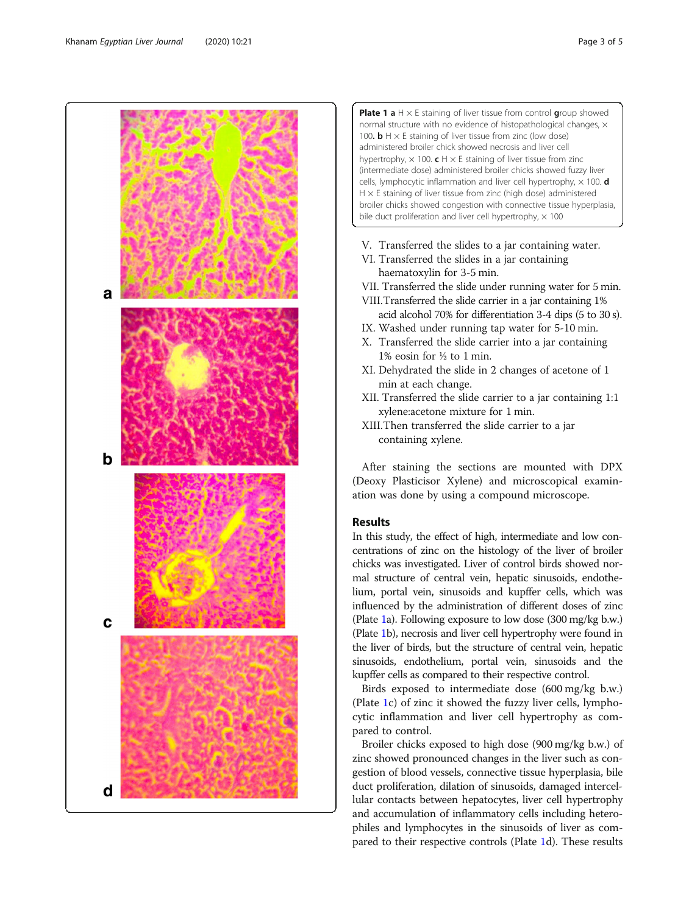

**Plate 1 a** H  $\times$  E staining of liver tissue from control group showed normal structure with no evidence of histopathological changes,  $\times$ 100.  $\mathbf{b}$  H  $\times$  E staining of liver tissue from zinc (low dose) administered broiler chick showed necrosis and liver cell hypertrophy,  $\times$  100. c H  $\times$  E staining of liver tissue from zinc (intermediate dose) administered broiler chicks showed fuzzy liver cells, lymphocytic inflammation and liver cell hypertrophy,  $\times$  100.  $d$  $H \times E$  staining of liver tissue from zinc (high dose) administered broiler chicks showed congestion with connective tissue hyperplasia, bile duct proliferation and liver cell hypertrophy,  $\times$  100

- V. Transferred the slides to a jar containing water.
- VI. Transferred the slides in a jar containing haematoxylin for 3-5 min.
- VII. Transferred the slide under running water for 5 min.
- VIII.Transferred the slide carrier in a jar containing 1% acid alcohol 70% for differentiation 3-4 dips (5 to 30 s).
- IX. Washed under running tap water for 5-10 min.
- X. Transferred the slide carrier into a jar containing 1% eosin for ½ to 1 min.
- XI. Dehydrated the slide in 2 changes of acetone of 1 min at each change.
- XII. Transferred the slide carrier to a jar containing 1:1 xylene:acetone mixture for 1 min.
- XIII.Then transferred the slide carrier to a jar containing xylene.

After staining the sections are mounted with DPX (Deoxy Plasticisor Xylene) and microscopical examination was done by using a compound microscope.

# Results

In this study, the effect of high, intermediate and low concentrations of zinc on the histology of the liver of broiler chicks was investigated. Liver of control birds showed normal structure of central vein, hepatic sinusoids, endothelium, portal vein, sinusoids and kupffer cells, which was influenced by the administration of different doses of zinc (Plate 1a). Following exposure to low dose (300 mg/kg b.w.) (Plate 1b), necrosis and liver cell hypertrophy were found in the liver of birds, but the structure of central vein, hepatic sinusoids, endothelium, portal vein, sinusoids and the kupffer cells as compared to their respective control.

Birds exposed to intermediate dose (600 mg/kg b.w.) (Plate 1c) of zinc it showed the fuzzy liver cells, lymphocytic inflammation and liver cell hypertrophy as compared to control.

Broiler chicks exposed to high dose (900 mg/kg b.w.) of zinc showed pronounced changes in the liver such as congestion of blood vessels, connective tissue hyperplasia, bile duct proliferation, dilation of sinusoids, damaged intercellular contacts between hepatocytes, liver cell hypertrophy and accumulation of inflammatory cells including heterophiles and lymphocytes in the sinusoids of liver as compared to their respective controls (Plate 1d). These results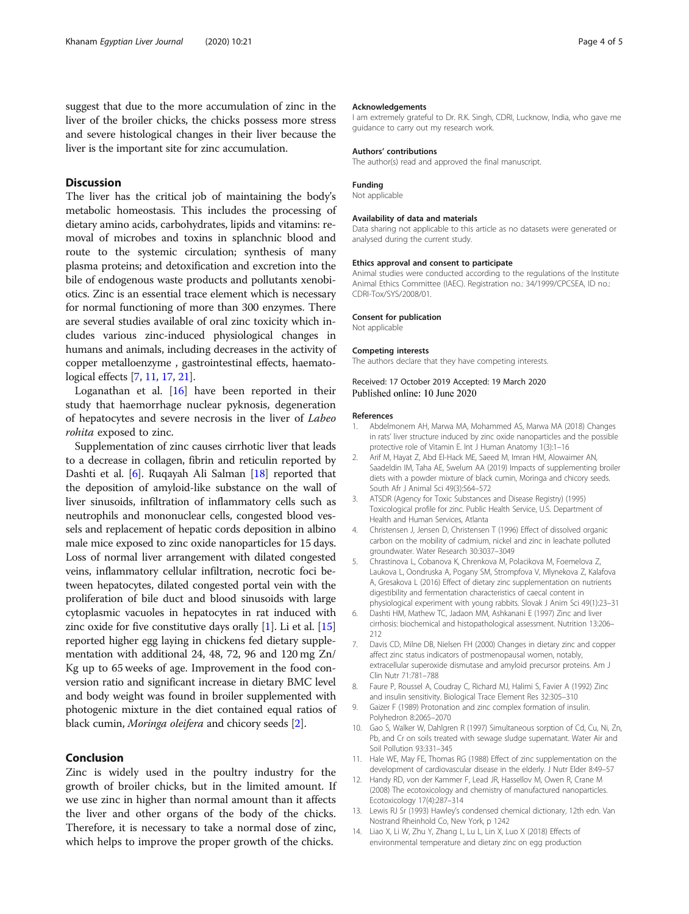<span id="page-3-0"></span>suggest that due to the more accumulation of zinc in the liver of the broiler chicks, the chicks possess more stress and severe histological changes in their liver because the liver is the important site for zinc accumulation.

## **Discussion**

The liver has the critical job of maintaining the body's metabolic homeostasis. This includes the processing of dietary amino acids, carbohydrates, lipids and vitamins: removal of microbes and toxins in splanchnic blood and route to the systemic circulation; synthesis of many plasma proteins; and detoxification and excretion into the bile of endogenous waste products and pollutants xenobiotics. Zinc is an essential trace element which is necessary for normal functioning of more than 300 enzymes. There are several studies available of oral zinc toxicity which includes various zinc-induced physiological changes in humans and animals, including decreases in the activity of copper metalloenzyme , gastrointestinal effects, haematological effects [7, 11, [17](#page-4-0), [21\]](#page-4-0).

Loganathan et al. [\[16](#page-4-0)] have been reported in their study that haemorrhage nuclear pyknosis, degeneration of hepatocytes and severe necrosis in the liver of Labeo rohita exposed to zinc.

Supplementation of zinc causes cirrhotic liver that leads to a decrease in collagen, fibrin and reticulin reported by Dashti et al. [6]. Ruqayah Ali Salman [[18](#page-4-0)] reported that the deposition of amyloid-like substance on the wall of liver sinusoids, infiltration of inflammatory cells such as neutrophils and mononuclear cells, congested blood vessels and replacement of hepatic cords deposition in albino male mice exposed to zinc oxide nanoparticles for 15 days. Loss of normal liver arrangement with dilated congested veins, inflammatory cellular infiltration, necrotic foci between hepatocytes, dilated congested portal vein with the proliferation of bile duct and blood sinusoids with large cytoplasmic vacuoles in hepatocytes in rat induced with zinc oxide for five constitutive days orally  $[1]$ . Li et al.  $[15]$  $[15]$  $[15]$ reported higher egg laying in chickens fed dietary supplementation with additional 24, 48, 72, 96 and 120 mg Zn/ Kg up to 65 weeks of age. Improvement in the food conversion ratio and significant increase in dietary BMC level and body weight was found in broiler supplemented with photogenic mixture in the diet contained equal ratios of black cumin, Moringa oleifera and chicory seeds [2].

## Conclusion

Zinc is widely used in the poultry industry for the growth of broiler chicks, but in the limited amount. If we use zinc in higher than normal amount than it affects the liver and other organs of the body of the chicks. Therefore, it is necessary to take a normal dose of zinc, which helps to improve the proper growth of the chicks.

# Acknowledgements

I am extremely grateful to Dr. R.K. Singh, CDRI, Lucknow, India, who gave me guidance to carry out my research work.

# Authors' contributions

The author(s) read and approved the final manuscript.

# Funding

Not applicable

#### Availability of data and materials

Data sharing not applicable to this article as no datasets were generated or analysed during the current study.

#### Ethics approval and consent to participate

Animal studies were conducted according to the regulations of the Institute Animal Ethics Committee (IAEC). Registration no.: 34/1999/CPCSEA, ID no.: CDRI-Tox/SYS/2008/01.

#### Consent for publication

Not applicable

#### Competing interests

The authors declare that they have competing interests.

#### Received: 17 October 2019 Accepted: 19 March 2020 Published online: 10 June 2020

#### References

- 1. Abdelmonem AH, Marwa MA, Mohammed AS, Marwa MA (2018) Changes in rats' liver structure induced by zinc oxide nanoparticles and the possible protective role of Vitamin E. Int J Human Anatomy 1(3):1–16
- 2. Arif M, Hayat Z, Abd El-Hack ME, Saeed M, Imran HM, Alowaimer AN, Saadeldin IM, Taha AE, Swelum AA (2019) Impacts of supplementing broiler diets with a powder mixture of black cumin, Moringa and chicory seeds. South Afr J Animal Sci 49(3):564–572
- 3. ATSDR (Agency for Toxic Substances and Disease Registry) (1995) Toxicological profile for zinc. Public Health Service, U.S. Department of Health and Human Services, Atlanta
- 4. Christensen J, Jensen D, Christensen T (1996) Effect of dissolved organic carbon on the mobility of cadmium, nickel and zinc in leachate polluted groundwater. Water Research 30:3037–3049
- 5. Chrastinova L, Cobanova K, Chrenkova M, Polacikova M, Foemelova Z, Laukova L, Oondruska A, Pogany SM, Strompfova V, Mlynekova Z, Kalafova A, Gresakova L (2016) Effect of dietary zinc supplementation on nutrients digestibility and fermentation characteristics of caecal content in physiological experiment with young rabbits. Slovak J Anim Sci 49(1):23–31
- 6. Dashti HM, Mathew TC, Jadaon MM, Ashkanani E (1997) Zinc and liver cirrhosis: biochemical and histopathological assessment. Nutrition 13:206– 212
- 7. Davis CD, Milne DB, Nielsen FH (2000) Changes in dietary zinc and copper affect zinc status indicators of postmenopausal women, notably, extracellular superoxide dismutase and amyloid precursor proteins. Am J Clin Nutr 71:781–788
- 8. Faure P, Roussel A, Coudray C, Richard MJ, Halimi S, Favier A (1992) Zinc and insulin sensitivity. Biological Trace Element Res 32:305–310
- 9. Gaizer F (1989) Protonation and zinc complex formation of insulin. Polyhedron 8:2065–2070
- 10. Gao S, Walker W, Dahlgren R (1997) Simultaneous sorption of Cd, Cu, Ni, Zn, Pb, and Cr on soils treated with sewage sludge supernatant. Water Air and Soil Pollution 93:331–345
- 11. Hale WE, May FE, Thomas RG (1988) Effect of zinc supplementation on the development of cardiovascular disease in the elderly. J Nutr Elder 8:49–57
- 12. Handy RD, von der Kammer F, Lead JR, Hassellov M, Owen R, Crane M (2008) The ecotoxicology and chemistry of manufactured nanoparticles. Ecotoxicology 17(4):287–314
- 13. Lewis RJ Sr (1993) Hawley's condensed chemical dictionary, 12th edn. Van Nostrand Rheinhold Co, New York, p 1242
- 14. Liao X, Li W, Zhu Y, Zhang L, Lu L, Lin X, Luo X (2018) Effects of environmental temperature and dietary zinc on egg production